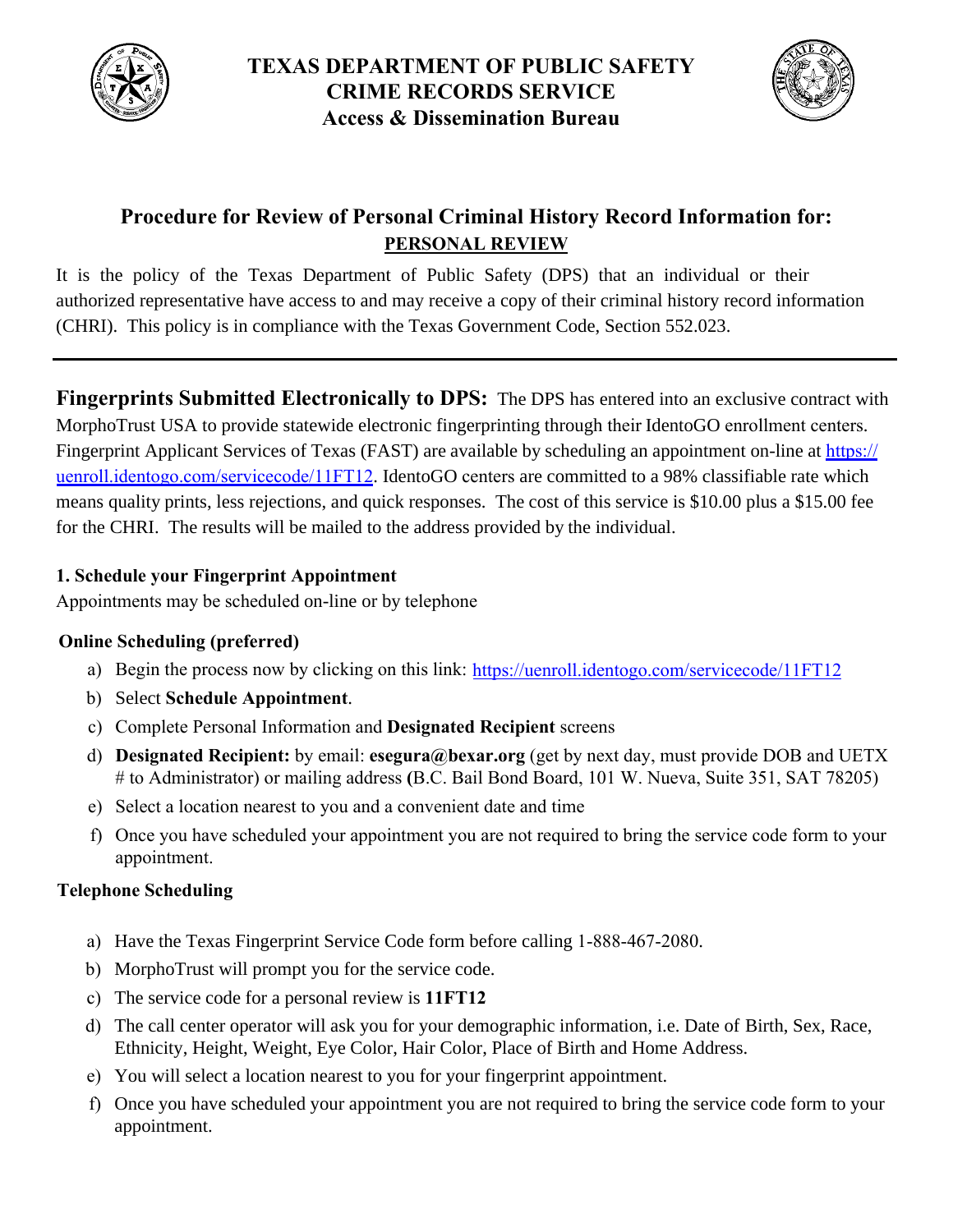



# **Procedure for Review of Personal Criminal History Record Information for: PERSONAL REVIEW**

It is the policy of the Texas Department of Public Safety (DPS) that an individual or their authorized representative have access to and may receive a copy of their criminal history record information (CHRI). This policy is in compliance with the Texas Government Code, Section 552.023.

**Fingerprints Submitted Electronically to DPS:** The DPS has entered into an exclusive contract with MorphoTrust USA to provide statewide electronic fingerprinting through their IdentoGO enrollment centers. [Fingerprint Applicant Services of Texas \(FAST\) are available by scheduling an](https://uenroll.identogo.com/servicecode/11FT12) appointment on-line at https:// uenroll.identogo.com/servicecode/11FT12. IdentoGO centers are committed to a 98% classifiable rate which means quality prints, less rejections, and quick responses. The cost of this service is \$10.00 plus a \$15.00 fee for the CHRI. The results will be mailed to the address provided by the individual.

## **1. Schedule your Fingerprint Appointment**

Appointments may be scheduled on-line or by telephone

## **Online Scheduling (preferred)**

- a) Begin the process now by clicking on this link: [https://uenroll.identogo.com/servicecode/](https://uenroll.identogo.com/servicecode/11FT12)11FT12
- b) Select **Schedule Appointment**.
- c) Complete Personal Information and **Designated Recipient** screens
- d) **Designated Recipient:** by email: **esegura@bexar.org** (get by next day, must provide DOB and UETX # to Administrator) or mailing address **(**B.C. Bail Bond Board, 101 W. Nueva, Suite 351, SAT 78205)
- e) Select a location nearest to you and a convenient date and time
- f) Once you have scheduled your appointment you are not required to bring the service code form to your appointment.

## **Telephone Scheduling**

- a) Have the Texas Fingerprint Service Code form before calling 1-888-467-2080.
- b) MorphoTrust will prompt you for the service code.
- c) The service code for a personal review is **11FT12**
- d) The call center operator will ask you for your demographic information, i.e. Date of Birth, Sex, Race, Ethnicity, Height, Weight, Eye Color, Hair Color, Place of Birth and Home Address.
- e) You will select a location nearest to you for your fingerprint appointment.
- f) Once you have scheduled your appointment you are not required to bring the service code form to your appointment.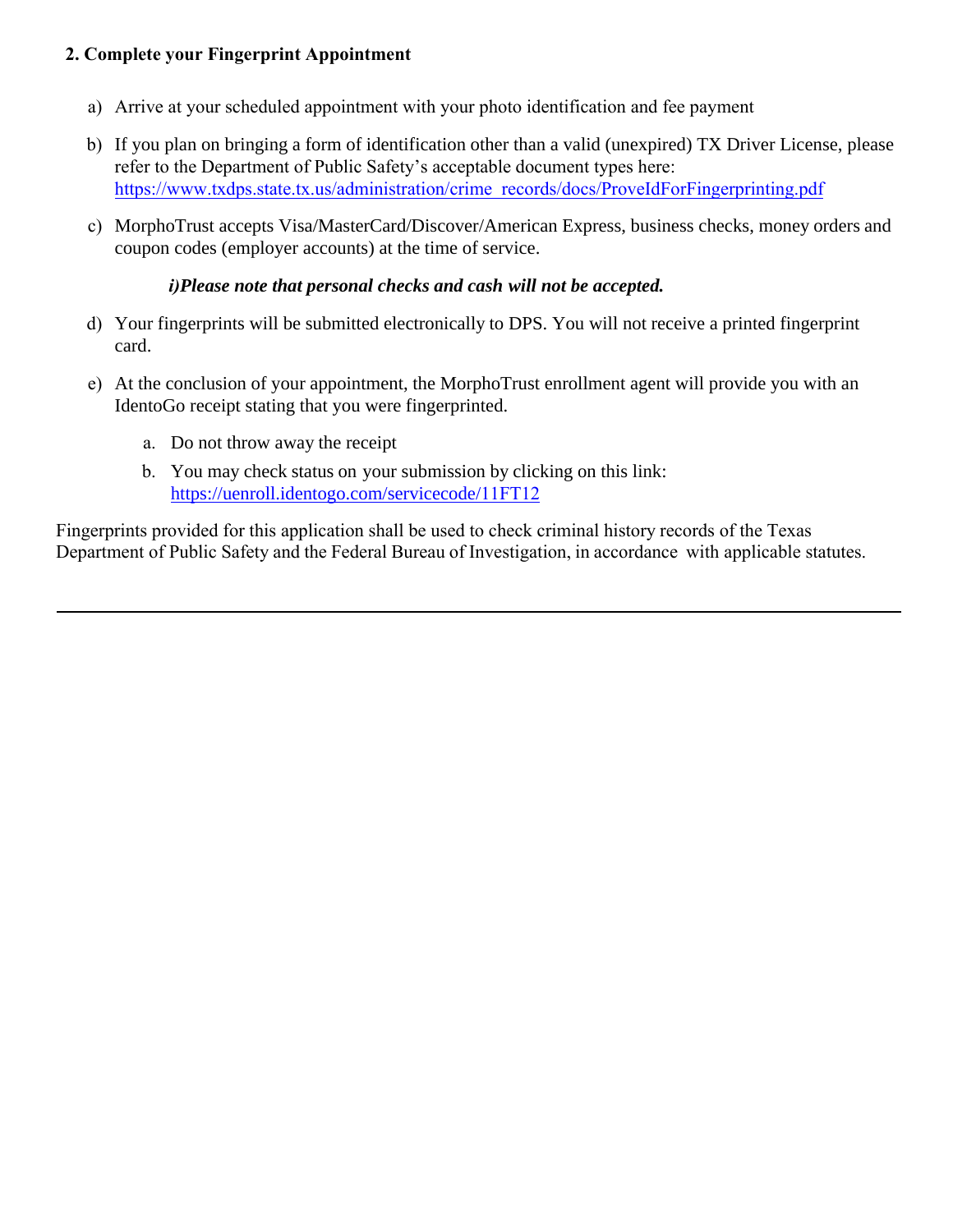## **2. Complete your Fingerprint Appointment**

- a) Arrive at your scheduled appointment with your photo identification and fee payment
- b) If you plan on bringing a form of identification other than a valid (unexpired) TX Driver License, please refer to the Department of Public Safety's acceptable document types here: [https://www.txdps.state.tx.us/administration/crime\\_records/docs/ProveIdForFingerprinting.pdf](https://www.txdps.state.tx.us/administration/crime_records/docs/ProveIdForFingerprinting.pdf)
- c) MorphoTrust accepts Visa/MasterCard/Discover/American Express, business checks, money orders and coupon codes (employer accounts) at the time of service.

#### *i)Please note that personal checks and cash will not be accepted.*

- d) Your fingerprints will be submitted electronically to DPS. You will not receive a printed fingerprint card.
- e) At the conclusion of your appointment, the MorphoTrust enrollment agent will provide you with an IdentoGo receipt stating that you were fingerprinted.
	- a. Do not throw away the receipt
	- b. You may check status on your submission by clicking on this link: [https://uenroll.identogo.com/servicecode/](https://uenroll.identogo.com/servicecode/11FT12)11FT12

Fingerprints provided for this application shall be used to check criminal history records of the Texas Department of Public Safety and the Federal Bureau of Investigation, in accordance with applicable statutes.